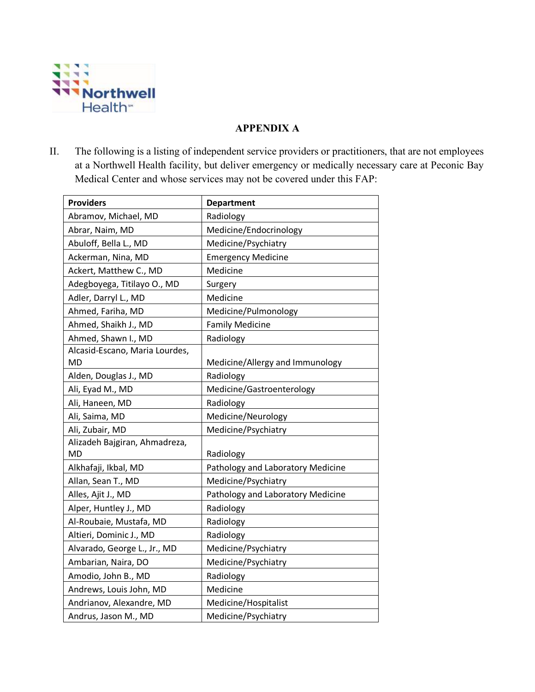

## **APPENDIX A**

II. The following is a listing of independent service providers or practitioners, that are not employees at a Northwell Health facility, but deliver emergency or medically necessary care at Peconic Bay Medical Center and whose services may not be covered under this FAP:

| <b>Providers</b>               | <b>Department</b>                 |
|--------------------------------|-----------------------------------|
| Abramov, Michael, MD           | Radiology                         |
| Abrar, Naim, MD                | Medicine/Endocrinology            |
| Abuloff, Bella L., MD          | Medicine/Psychiatry               |
| Ackerman, Nina, MD             | <b>Emergency Medicine</b>         |
| Ackert, Matthew C., MD         | Medicine                          |
| Adegboyega, Titilayo O., MD    | Surgery                           |
| Adler, Darryl L., MD           | Medicine                          |
| Ahmed, Fariha, MD              | Medicine/Pulmonology              |
| Ahmed, Shaikh J., MD           | <b>Family Medicine</b>            |
| Ahmed, Shawn I., MD            | Radiology                         |
| Alcasid-Escano, Maria Lourdes, |                                   |
| MD                             | Medicine/Allergy and Immunology   |
| Alden, Douglas J., MD          | Radiology                         |
| Ali, Eyad M., MD               | Medicine/Gastroenterology         |
| Ali, Haneen, MD                | Radiology                         |
| Ali, Saima, MD                 | Medicine/Neurology                |
| Ali, Zubair, MD                | Medicine/Psychiatry               |
| Alizadeh Bajgiran, Ahmadreza,  |                                   |
| <b>MD</b>                      | Radiology                         |
| Alkhafaji, Ikbal, MD           | Pathology and Laboratory Medicine |
| Allan, Sean T., MD             | Medicine/Psychiatry               |
| Alles, Ajit J., MD             | Pathology and Laboratory Medicine |
| Alper, Huntley J., MD          | Radiology                         |
| Al-Roubaie, Mustafa, MD        | Radiology                         |
| Altieri, Dominic J., MD        | Radiology                         |
| Alvarado, George L., Jr., MD   | Medicine/Psychiatry               |
| Ambarian, Naira, DO            | Medicine/Psychiatry               |
| Amodio, John B., MD            | Radiology                         |
| Andrews, Louis John, MD        | Medicine                          |
| Andrianov, Alexandre, MD       | Medicine/Hospitalist              |
| Andrus, Jason M., MD           | Medicine/Psychiatry               |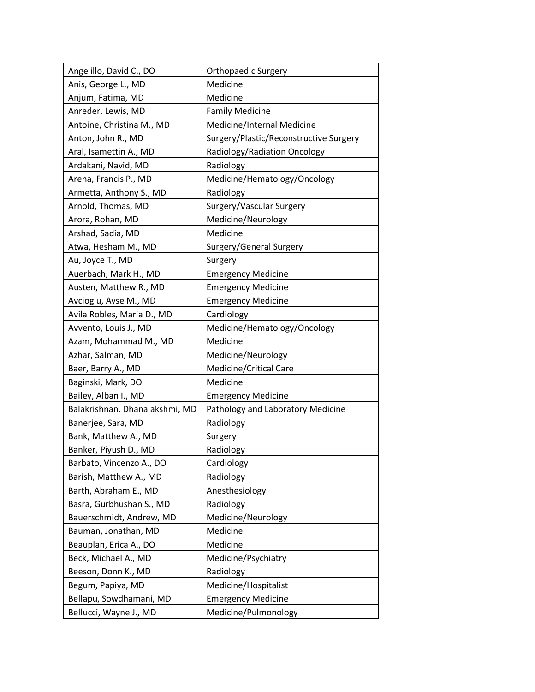| Angelillo, David C., DO        | <b>Orthopaedic Surgery</b>             |
|--------------------------------|----------------------------------------|
| Anis, George L., MD            | Medicine                               |
| Anjum, Fatima, MD              | Medicine                               |
| Anreder, Lewis, MD             | <b>Family Medicine</b>                 |
| Antoine, Christina M., MD      | Medicine/Internal Medicine             |
| Anton, John R., MD             | Surgery/Plastic/Reconstructive Surgery |
| Aral, Isamettin A., MD         | Radiology/Radiation Oncology           |
| Ardakani, Navid, MD            | Radiology                              |
| Arena, Francis P., MD          | Medicine/Hematology/Oncology           |
| Armetta, Anthony S., MD        | Radiology                              |
| Arnold, Thomas, MD             | Surgery/Vascular Surgery               |
| Arora, Rohan, MD               | Medicine/Neurology                     |
| Arshad, Sadia, MD              | Medicine                               |
| Atwa, Hesham M., MD            | Surgery/General Surgery                |
| Au, Joyce T., MD               | Surgery                                |
| Auerbach, Mark H., MD          | <b>Emergency Medicine</b>              |
| Austen, Matthew R., MD         | <b>Emergency Medicine</b>              |
| Avcioglu, Ayse M., MD          | <b>Emergency Medicine</b>              |
| Avila Robles, Maria D., MD     | Cardiology                             |
| Avvento, Louis J., MD          | Medicine/Hematology/Oncology           |
| Azam, Mohammad M., MD          | Medicine                               |
| Azhar, Salman, MD              | Medicine/Neurology                     |
| Baer, Barry A., MD             | Medicine/Critical Care                 |
| Baginski, Mark, DO             | Medicine                               |
| Bailey, Alban I., MD           | <b>Emergency Medicine</b>              |
| Balakrishnan, Dhanalakshmi, MD | Pathology and Laboratory Medicine      |
| Banerjee, Sara, MD             | Radiology                              |
| Bank, Matthew A., MD           | Surgery                                |
| Banker, Piyush D., MD          | Radiology                              |
| Barbato, Vincenzo A., DO       | Cardiology                             |
| Barish, Matthew A., MD         | Radiology                              |
| Barth, Abraham E., MD          | Anesthesiology                         |
| Basra, Gurbhushan S., MD       | Radiology                              |
| Bauerschmidt, Andrew, MD       | Medicine/Neurology                     |
| Bauman, Jonathan, MD           | Medicine                               |
| Beauplan, Erica A., DO         | Medicine                               |
| Beck, Michael A., MD           | Medicine/Psychiatry                    |
| Beeson, Donn K., MD            | Radiology                              |
| Begum, Papiya, MD              | Medicine/Hospitalist                   |
| Bellapu, Sowdhamani, MD        | <b>Emergency Medicine</b>              |
| Bellucci, Wayne J., MD         | Medicine/Pulmonology                   |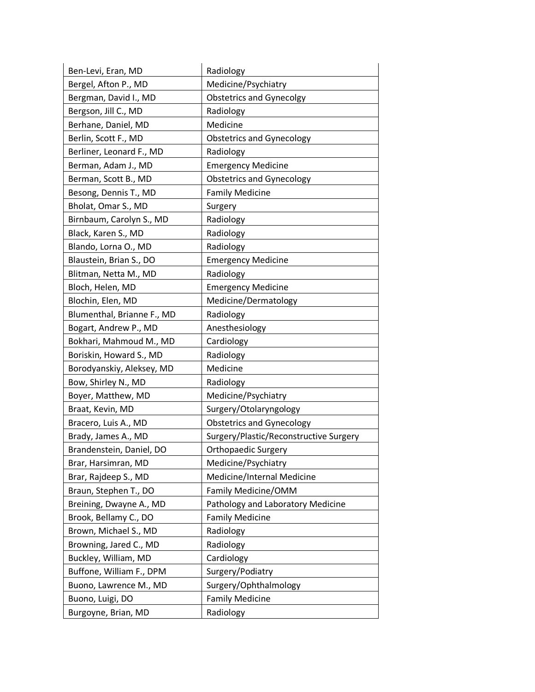| Ben-Levi, Eran, MD         | Radiology                              |
|----------------------------|----------------------------------------|
| Bergel, Afton P., MD       | Medicine/Psychiatry                    |
| Bergman, David I., MD      | <b>Obstetrics and Gynecolgy</b>        |
| Bergson, Jill C., MD       | Radiology                              |
| Berhane, Daniel, MD        | Medicine                               |
| Berlin, Scott F., MD       | <b>Obstetrics and Gynecology</b>       |
| Berliner, Leonard F., MD   | Radiology                              |
| Berman, Adam J., MD        | <b>Emergency Medicine</b>              |
| Berman, Scott B., MD       | <b>Obstetrics and Gynecology</b>       |
| Besong, Dennis T., MD      | <b>Family Medicine</b>                 |
| Bholat, Omar S., MD        | Surgery                                |
| Birnbaum, Carolyn S., MD   | Radiology                              |
| Black, Karen S., MD        | Radiology                              |
| Blando, Lorna O., MD       | Radiology                              |
| Blaustein, Brian S., DO    | <b>Emergency Medicine</b>              |
| Blitman, Netta M., MD      | Radiology                              |
| Bloch, Helen, MD           | <b>Emergency Medicine</b>              |
| Blochin, Elen, MD          | Medicine/Dermatology                   |
| Blumenthal, Brianne F., MD | Radiology                              |
| Bogart, Andrew P., MD      | Anesthesiology                         |
| Bokhari, Mahmoud M., MD    | Cardiology                             |
| Boriskin, Howard S., MD    | Radiology                              |
| Borodyanskiy, Aleksey, MD  | Medicine                               |
| Bow, Shirley N., MD        | Radiology                              |
| Boyer, Matthew, MD         | Medicine/Psychiatry                    |
| Braat, Kevin, MD           | Surgery/Otolaryngology                 |
| Bracero, Luis A., MD       | <b>Obstetrics and Gynecology</b>       |
| Brady, James A., MD        | Surgery/Plastic/Reconstructive Surgery |
| Brandenstein, Daniel, DO   | <b>Orthopaedic Surgery</b>             |
| Brar, Harsimran, MD        | Medicine/Psychiatry                    |
| Brar, Rajdeep S., MD       | Medicine/Internal Medicine             |
| Braun, Stephen T., DO      | Family Medicine/OMM                    |
| Breining, Dwayne A., MD    | Pathology and Laboratory Medicine      |
| Brook, Bellamy C., DO      | <b>Family Medicine</b>                 |
| Brown, Michael S., MD      | Radiology                              |
| Browning, Jared C., MD     | Radiology                              |
| Buckley, William, MD       | Cardiology                             |
| Buffone, William F., DPM   | Surgery/Podiatry                       |
| Buono, Lawrence M., MD     | Surgery/Ophthalmology                  |
| Buono, Luigi, DO           | <b>Family Medicine</b>                 |
| Burgoyne, Brian, MD        | Radiology                              |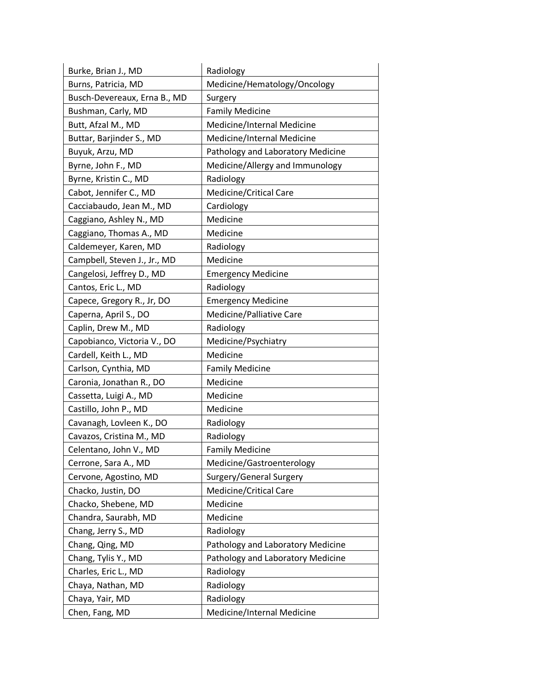| Burke, Brian J., MD          | Radiology                         |
|------------------------------|-----------------------------------|
| Burns, Patricia, MD          | Medicine/Hematology/Oncology      |
| Busch-Devereaux, Erna B., MD | Surgery                           |
| Bushman, Carly, MD           | <b>Family Medicine</b>            |
| Butt, Afzal M., MD           | Medicine/Internal Medicine        |
| Buttar, Barjinder S., MD     | Medicine/Internal Medicine        |
| Buyuk, Arzu, MD              | Pathology and Laboratory Medicine |
| Byrne, John F., MD           | Medicine/Allergy and Immunology   |
| Byrne, Kristin C., MD        | Radiology                         |
| Cabot, Jennifer C., MD       | Medicine/Critical Care            |
| Cacciabaudo, Jean M., MD     | Cardiology                        |
| Caggiano, Ashley N., MD      | Medicine                          |
| Caggiano, Thomas A., MD      | Medicine                          |
| Caldemeyer, Karen, MD        | Radiology                         |
| Campbell, Steven J., Jr., MD | Medicine                          |
| Cangelosi, Jeffrey D., MD    | <b>Emergency Medicine</b>         |
| Cantos, Eric L., MD          | Radiology                         |
| Capece, Gregory R., Jr, DO   | <b>Emergency Medicine</b>         |
| Caperna, April S., DO        | Medicine/Palliative Care          |
| Caplin, Drew M., MD          | Radiology                         |
| Capobianco, Victoria V., DO  | Medicine/Psychiatry               |
| Cardell, Keith L., MD        | Medicine                          |
| Carlson, Cynthia, MD         | <b>Family Medicine</b>            |
| Caronia, Jonathan R., DO     | Medicine                          |
| Cassetta, Luigi A., MD       | Medicine                          |
| Castillo, John P., MD        | Medicine                          |
| Cavanagh, Lovleen K., DO     | Radiology                         |
| Cavazos, Cristina M., MD     | Radiology                         |
| Celentano, John V., MD       | <b>Family Medicine</b>            |
| Cerrone, Sara A., MD         | Medicine/Gastroenterology         |
| Cervone, Agostino, MD        | Surgery/General Surgery           |
| Chacko, Justin, DO           | Medicine/Critical Care            |
| Chacko, Shebene, MD          | Medicine                          |
| Chandra, Saurabh, MD         | Medicine                          |
| Chang, Jerry S., MD          | Radiology                         |
| Chang, Qing, MD              | Pathology and Laboratory Medicine |
| Chang, Tylis Y., MD          | Pathology and Laboratory Medicine |
| Charles, Eric L., MD         | Radiology                         |
| Chaya, Nathan, MD            | Radiology                         |
| Chaya, Yair, MD              | Radiology                         |
| Chen, Fang, MD               | Medicine/Internal Medicine        |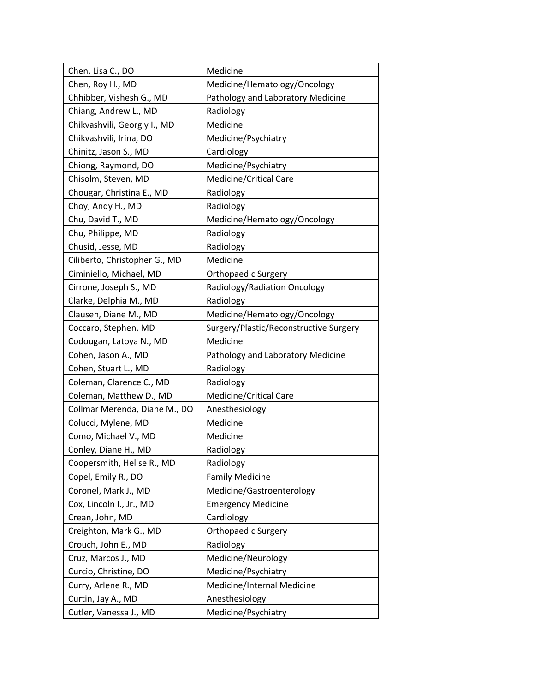| Chen, Lisa C., DO             | Medicine                               |
|-------------------------------|----------------------------------------|
| Chen, Roy H., MD              | Medicine/Hematology/Oncology           |
| Chhibber, Vishesh G., MD      | Pathology and Laboratory Medicine      |
| Chiang, Andrew L., MD         | Radiology                              |
| Chikvashvili, Georgiy I., MD  | Medicine                               |
| Chikvashvili, Irina, DO       | Medicine/Psychiatry                    |
| Chinitz, Jason S., MD         | Cardiology                             |
| Chiong, Raymond, DO           | Medicine/Psychiatry                    |
| Chisolm, Steven, MD           | Medicine/Critical Care                 |
| Chougar, Christina E., MD     | Radiology                              |
| Choy, Andy H., MD             | Radiology                              |
| Chu, David T., MD             | Medicine/Hematology/Oncology           |
| Chu, Philippe, MD             | Radiology                              |
| Chusid, Jesse, MD             | Radiology                              |
| Ciliberto, Christopher G., MD | Medicine                               |
| Ciminiello, Michael, MD       | <b>Orthopaedic Surgery</b>             |
| Cirrone, Joseph S., MD        | Radiology/Radiation Oncology           |
| Clarke, Delphia M., MD        | Radiology                              |
| Clausen, Diane M., MD         | Medicine/Hematology/Oncology           |
| Coccaro, Stephen, MD          | Surgery/Plastic/Reconstructive Surgery |
| Codougan, Latoya N., MD       | Medicine                               |
| Cohen, Jason A., MD           | Pathology and Laboratory Medicine      |
| Cohen, Stuart L., MD          | Radiology                              |
| Coleman, Clarence C., MD      | Radiology                              |
| Coleman, Matthew D., MD       | <b>Medicine/Critical Care</b>          |
| Collmar Merenda, Diane M., DO | Anesthesiology                         |
| Colucci, Mylene, MD           | Medicine                               |
| Como, Michael V., MD          | Medicine                               |
| Conley, Diane H., MD          | Radiology                              |
| Coopersmith, Helise R., MD    | Radiology                              |
| Copel, Emily R., DO           | <b>Family Medicine</b>                 |
| Coronel, Mark J., MD          | Medicine/Gastroenterology              |
| Cox, Lincoln I., Jr., MD      | <b>Emergency Medicine</b>              |
| Crean, John, MD               | Cardiology                             |
| Creighton, Mark G., MD        | <b>Orthopaedic Surgery</b>             |
| Crouch, John E., MD           | Radiology                              |
| Cruz, Marcos J., MD           | Medicine/Neurology                     |
| Curcio, Christine, DO         | Medicine/Psychiatry                    |
| Curry, Arlene R., MD          | Medicine/Internal Medicine             |
| Curtin, Jay A., MD            | Anesthesiology                         |
| Cutler, Vanessa J., MD        | Medicine/Psychiatry                    |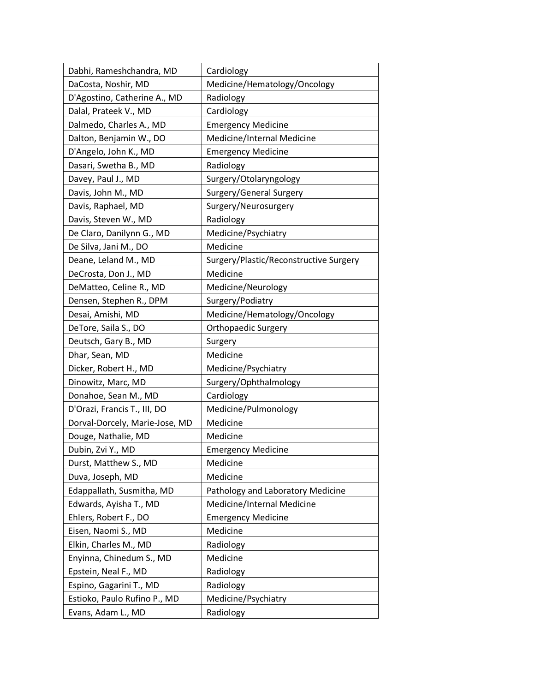| Dabhi, Rameshchandra, MD       | Cardiology                             |
|--------------------------------|----------------------------------------|
| DaCosta, Noshir, MD            | Medicine/Hematology/Oncology           |
| D'Agostino, Catherine A., MD   | Radiology                              |
| Dalal, Prateek V., MD          | Cardiology                             |
| Dalmedo, Charles A., MD        | <b>Emergency Medicine</b>              |
| Dalton, Benjamin W., DO        | Medicine/Internal Medicine             |
| D'Angelo, John K., MD          | <b>Emergency Medicine</b>              |
| Dasari, Swetha B., MD          | Radiology                              |
| Davey, Paul J., MD             | Surgery/Otolaryngology                 |
| Davis, John M., MD             | Surgery/General Surgery                |
| Davis, Raphael, MD             | Surgery/Neurosurgery                   |
| Davis, Steven W., MD           | Radiology                              |
| De Claro, Danilynn G., MD      | Medicine/Psychiatry                    |
| De Silva, Jani M., DO          | Medicine                               |
| Deane, Leland M., MD           | Surgery/Plastic/Reconstructive Surgery |
| DeCrosta, Don J., MD           | Medicine                               |
| DeMatteo, Celine R., MD        | Medicine/Neurology                     |
| Densen, Stephen R., DPM        | Surgery/Podiatry                       |
| Desai, Amishi, MD              | Medicine/Hematology/Oncology           |
| DeTore, Saila S., DO           | <b>Orthopaedic Surgery</b>             |
| Deutsch, Gary B., MD           | Surgery                                |
| Dhar, Sean, MD                 | Medicine                               |
| Dicker, Robert H., MD          | Medicine/Psychiatry                    |
| Dinowitz, Marc, MD             | Surgery/Ophthalmology                  |
| Donahoe, Sean M., MD           | Cardiology                             |
| D'Orazi, Francis T., III, DO   | Medicine/Pulmonology                   |
| Dorval-Dorcely, Marie-Jose, MD | Medicine                               |
| Douge, Nathalie, MD            | Medicine                               |
| Dubin, Zvi Y., MD              | <b>Emergency Medicine</b>              |
| Durst, Matthew S., MD          | Medicine                               |
| Duva, Joseph, MD               | Medicine                               |
| Edappallath, Susmitha, MD      | Pathology and Laboratory Medicine      |
| Edwards, Ayisha T., MD         | Medicine/Internal Medicine             |
| Ehlers, Robert F., DO          | <b>Emergency Medicine</b>              |
| Eisen, Naomi S., MD            | Medicine                               |
| Elkin, Charles M., MD          | Radiology                              |
| Enyinna, Chinedum S., MD       | Medicine                               |
| Epstein, Neal F., MD           | Radiology                              |
| Espino, Gagarini T., MD        | Radiology                              |
| Estioko, Paulo Rufino P., MD   | Medicine/Psychiatry                    |
| Evans, Adam L., MD             | Radiology                              |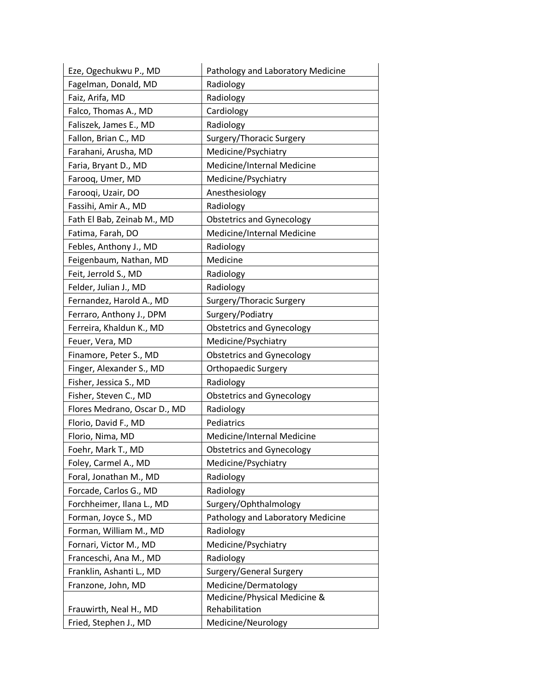| Eze, Ogechukwu P., MD        | Pathology and Laboratory Medicine |
|------------------------------|-----------------------------------|
| Fagelman, Donald, MD         | Radiology                         |
| Faiz, Arifa, MD              | Radiology                         |
| Falco, Thomas A., MD         | Cardiology                        |
| Faliszek, James E., MD       | Radiology                         |
| Fallon, Brian C., MD         | Surgery/Thoracic Surgery          |
| Farahani, Arusha, MD         | Medicine/Psychiatry               |
| Faria, Bryant D., MD         | Medicine/Internal Medicine        |
| Farooq, Umer, MD             | Medicine/Psychiatry               |
| Farooqi, Uzair, DO           | Anesthesiology                    |
| Fassihi, Amir A., MD         | Radiology                         |
| Fath El Bab, Zeinab M., MD   | <b>Obstetrics and Gynecology</b>  |
| Fatima, Farah, DO            | Medicine/Internal Medicine        |
| Febles, Anthony J., MD       | Radiology                         |
| Feigenbaum, Nathan, MD       | Medicine                          |
| Feit, Jerrold S., MD         | Radiology                         |
| Felder, Julian J., MD        | Radiology                         |
| Fernandez, Harold A., MD     | Surgery/Thoracic Surgery          |
| Ferraro, Anthony J., DPM     | Surgery/Podiatry                  |
| Ferreira, Khaldun K., MD     | <b>Obstetrics and Gynecology</b>  |
| Feuer, Vera, MD              | Medicine/Psychiatry               |
| Finamore, Peter S., MD       | <b>Obstetrics and Gynecology</b>  |
| Finger, Alexander S., MD     | <b>Orthopaedic Surgery</b>        |
| Fisher, Jessica S., MD       | Radiology                         |
| Fisher, Steven C., MD        | <b>Obstetrics and Gynecology</b>  |
| Flores Medrano, Oscar D., MD | Radiology                         |
| Florio, David F., MD         | Pediatrics                        |
| Florio, Nima, MD             | Medicine/Internal Medicine        |
| Foehr, Mark T., MD           | <b>Obstetrics and Gynecology</b>  |
| Foley, Carmel A., MD         | Medicine/Psychiatry               |
| Foral, Jonathan M., MD       | Radiology                         |
| Forcade, Carlos G., MD       | Radiology                         |
| Forchheimer, Ilana L., MD    | Surgery/Ophthalmology             |
| Forman, Joyce S., MD         | Pathology and Laboratory Medicine |
| Forman, William M., MD       | Radiology                         |
| Fornari, Victor M., MD       | Medicine/Psychiatry               |
| Franceschi, Ana M., MD       | Radiology                         |
| Franklin, Ashanti L., MD     | Surgery/General Surgery           |
| Franzone, John, MD           | Medicine/Dermatology              |
|                              | Medicine/Physical Medicine &      |
| Frauwirth, Neal H., MD       | Rehabilitation                    |
| Fried, Stephen J., MD        | Medicine/Neurology                |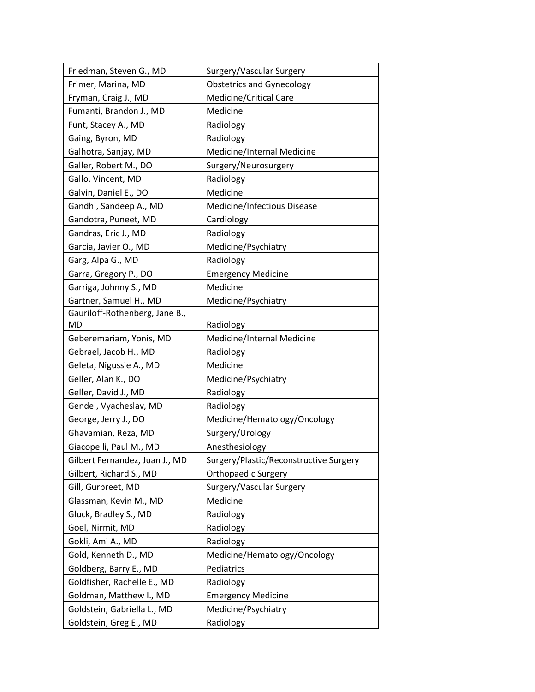| Friedman, Steven G., MD        | Surgery/Vascular Surgery               |
|--------------------------------|----------------------------------------|
| Frimer, Marina, MD             | <b>Obstetrics and Gynecology</b>       |
| Fryman, Craig J., MD           | <b>Medicine/Critical Care</b>          |
| Fumanti, Brandon J., MD        | Medicine                               |
| Funt, Stacey A., MD            | Radiology                              |
| Gaing, Byron, MD               | Radiology                              |
| Galhotra, Sanjay, MD           | Medicine/Internal Medicine             |
| Galler, Robert M., DO          | Surgery/Neurosurgery                   |
| Gallo, Vincent, MD             | Radiology                              |
| Galvin, Daniel E., DO          | Medicine                               |
| Gandhi, Sandeep A., MD         | Medicine/Infectious Disease            |
| Gandotra, Puneet, MD           | Cardiology                             |
| Gandras, Eric J., MD           | Radiology                              |
| Garcia, Javier O., MD          | Medicine/Psychiatry                    |
| Garg, Alpa G., MD              | Radiology                              |
| Garra, Gregory P., DO          | <b>Emergency Medicine</b>              |
| Garriga, Johnny S., MD         | Medicine                               |
| Gartner, Samuel H., MD         | Medicine/Psychiatry                    |
| Gauriloff-Rothenberg, Jane B., |                                        |
| MD                             | Radiology                              |
| Geberemariam, Yonis, MD        | Medicine/Internal Medicine             |
| Gebrael, Jacob H., MD          | Radiology                              |
| Geleta, Nigussie A., MD        | Medicine                               |
| Geller, Alan K., DO            | Medicine/Psychiatry                    |
| Geller, David J., MD           | Radiology                              |
| Gendel, Vyacheslav, MD         | Radiology                              |
| George, Jerry J., DO           | Medicine/Hematology/Oncology           |
| Ghavamian, Reza, MD            | Surgery/Urology                        |
| Giacopelli, Paul M., MD        | Anesthesiology                         |
| Gilbert Fernandez, Juan J., MD | Surgery/Plastic/Reconstructive Surgery |
| Gilbert, Richard S., MD        | <b>Orthopaedic Surgery</b>             |
| Gill, Gurpreet, MD             | Surgery/Vascular Surgery               |
| Glassman, Kevin M., MD         | Medicine                               |
| Gluck, Bradley S., MD          | Radiology                              |
| Goel, Nirmit, MD               | Radiology                              |
| Gokli, Ami A., MD              | Radiology                              |
| Gold, Kenneth D., MD           | Medicine/Hematology/Oncology           |
| Goldberg, Barry E., MD         | Pediatrics                             |
| Goldfisher, Rachelle E., MD    | Radiology                              |
| Goldman, Matthew I., MD        | <b>Emergency Medicine</b>              |
| Goldstein, Gabriella L., MD    | Medicine/Psychiatry                    |
| Goldstein, Greg E., MD         | Radiology                              |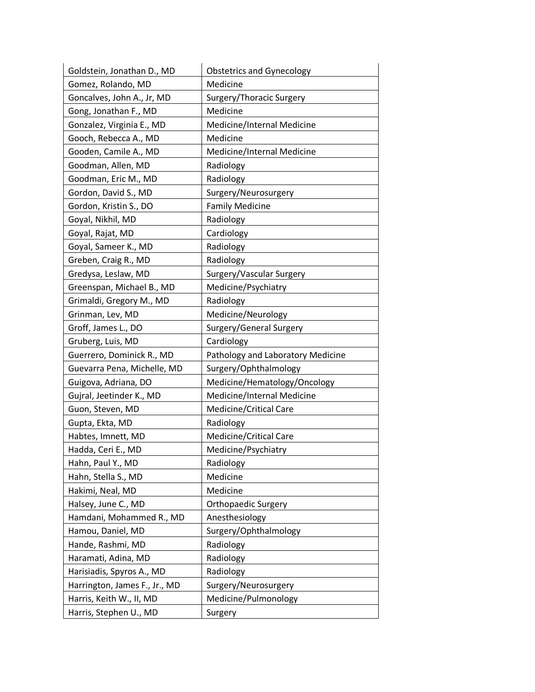| Goldstein, Jonathan D., MD    | <b>Obstetrics and Gynecology</b>  |
|-------------------------------|-----------------------------------|
| Gomez, Rolando, MD            | Medicine                          |
| Goncalves, John A., Jr, MD    | Surgery/Thoracic Surgery          |
| Gong, Jonathan F., MD         | Medicine                          |
| Gonzalez, Virginia E., MD     | Medicine/Internal Medicine        |
| Gooch, Rebecca A., MD         | Medicine                          |
| Gooden, Camile A., MD         | Medicine/Internal Medicine        |
| Goodman, Allen, MD            | Radiology                         |
| Goodman, Eric M., MD          | Radiology                         |
| Gordon, David S., MD          | Surgery/Neurosurgery              |
| Gordon, Kristin S., DO        | <b>Family Medicine</b>            |
| Goyal, Nikhil, MD             | Radiology                         |
| Goyal, Rajat, MD              | Cardiology                        |
| Goyal, Sameer K., MD          | Radiology                         |
| Greben, Craig R., MD          | Radiology                         |
| Gredysa, Leslaw, MD           | Surgery/Vascular Surgery          |
| Greenspan, Michael B., MD     | Medicine/Psychiatry               |
| Grimaldi, Gregory M., MD      | Radiology                         |
| Grinman, Lev, MD              | Medicine/Neurology                |
| Groff, James L., DO           | Surgery/General Surgery           |
| Gruberg, Luis, MD             | Cardiology                        |
| Guerrero, Dominick R., MD     | Pathology and Laboratory Medicine |
| Guevarra Pena, Michelle, MD   | Surgery/Ophthalmology             |
| Guigova, Adriana, DO          | Medicine/Hematology/Oncology      |
| Gujral, Jeetinder K., MD      | Medicine/Internal Medicine        |
| Guon, Steven, MD              | Medicine/Critical Care            |
| Gupta, Ekta, MD               | Radiology                         |
| Habtes, Imnett, MD            | Medicine/Critical Care            |
| Hadda, Ceri E., MD            | Medicine/Psychiatry               |
| Hahn, Paul Y., MD             | Radiology                         |
| Hahn, Stella S., MD           | Medicine                          |
| Hakimi, Neal, MD              | Medicine                          |
| Halsey, June C., MD           | <b>Orthopaedic Surgery</b>        |
| Hamdani, Mohammed R., MD      | Anesthesiology                    |
| Hamou, Daniel, MD             | Surgery/Ophthalmology             |
| Hande, Rashmi, MD             | Radiology                         |
| Haramati, Adina, MD           | Radiology                         |
| Harisiadis, Spyros A., MD     | Radiology                         |
| Harrington, James F., Jr., MD | Surgery/Neurosurgery              |
| Harris, Keith W., II, MD      | Medicine/Pulmonology              |
| Harris, Stephen U., MD        | Surgery                           |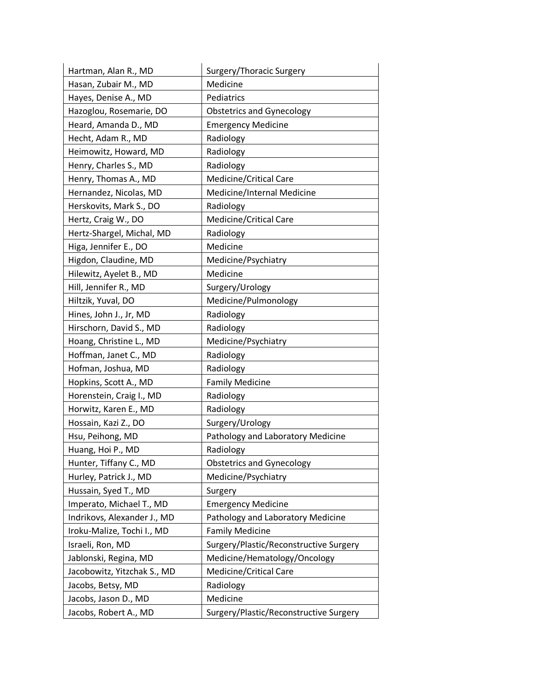| Hartman, Alan R., MD        | Surgery/Thoracic Surgery               |
|-----------------------------|----------------------------------------|
| Hasan, Zubair M., MD        | Medicine                               |
| Hayes, Denise A., MD        | Pediatrics                             |
| Hazoglou, Rosemarie, DO     | <b>Obstetrics and Gynecology</b>       |
| Heard, Amanda D., MD        | <b>Emergency Medicine</b>              |
| Hecht, Adam R., MD          | Radiology                              |
| Heimowitz, Howard, MD       | Radiology                              |
| Henry, Charles S., MD       | Radiology                              |
| Henry, Thomas A., MD        | Medicine/Critical Care                 |
| Hernandez, Nicolas, MD      | Medicine/Internal Medicine             |
| Herskovits, Mark S., DO     | Radiology                              |
| Hertz, Craig W., DO         | Medicine/Critical Care                 |
| Hertz-Shargel, Michal, MD   | Radiology                              |
| Higa, Jennifer E., DO       | Medicine                               |
| Higdon, Claudine, MD        | Medicine/Psychiatry                    |
| Hilewitz, Ayelet B., MD     | Medicine                               |
| Hill, Jennifer R., MD       | Surgery/Urology                        |
| Hiltzik, Yuval, DO          | Medicine/Pulmonology                   |
| Hines, John J., Jr, MD      | Radiology                              |
| Hirschorn, David S., MD     | Radiology                              |
| Hoang, Christine L., MD     | Medicine/Psychiatry                    |
| Hoffman, Janet C., MD       | Radiology                              |
| Hofman, Joshua, MD          | Radiology                              |
| Hopkins, Scott A., MD       | <b>Family Medicine</b>                 |
| Horenstein, Craig I., MD    | Radiology                              |
| Horwitz, Karen E., MD       | Radiology                              |
| Hossain, Kazi Z., DO        | Surgery/Urology                        |
| Hsu, Peihong, MD            | Pathology and Laboratory Medicine      |
| Huang, Hoi P., MD           | Radiology                              |
| Hunter, Tiffany C., MD      | <b>Obstetrics and Gynecology</b>       |
| Hurley, Patrick J., MD      | Medicine/Psychiatry                    |
| Hussain, Syed T., MD        | Surgery                                |
| Imperato, Michael T., MD    | <b>Emergency Medicine</b>              |
| Indrikovs, Alexander J., MD | Pathology and Laboratory Medicine      |
| Iroku-Malize, Tochi I., MD  | <b>Family Medicine</b>                 |
| Israeli, Ron, MD            | Surgery/Plastic/Reconstructive Surgery |
| Jablonski, Regina, MD       | Medicine/Hematology/Oncology           |
| Jacobowitz, Yitzchak S., MD | Medicine/Critical Care                 |
| Jacobs, Betsy, MD           | Radiology                              |
| Jacobs, Jason D., MD        | Medicine                               |
| Jacobs, Robert A., MD       | Surgery/Plastic/Reconstructive Surgery |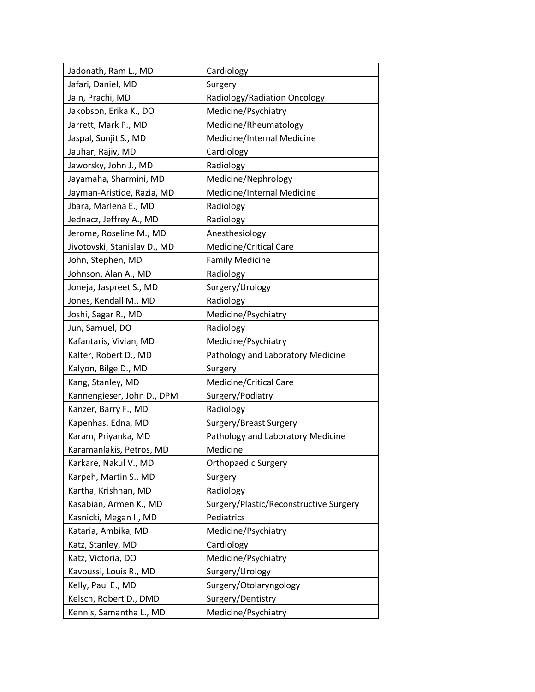| Jadonath, Ram L., MD         | Cardiology                             |
|------------------------------|----------------------------------------|
| Jafari, Daniel, MD           | Surgery                                |
| Jain, Prachi, MD             | Radiology/Radiation Oncology           |
| Jakobson, Erika K., DO       | Medicine/Psychiatry                    |
| Jarrett, Mark P., MD         | Medicine/Rheumatology                  |
| Jaspal, Sunjit S., MD        | Medicine/Internal Medicine             |
| Jauhar, Rajiv, MD            | Cardiology                             |
| Jaworsky, John J., MD        | Radiology                              |
| Jayamaha, Sharmini, MD       | Medicine/Nephrology                    |
| Jayman-Aristide, Razia, MD   | Medicine/Internal Medicine             |
| Jbara, Marlena E., MD        | Radiology                              |
| Jednacz, Jeffrey A., MD      | Radiology                              |
| Jerome, Roseline M., MD      | Anesthesiology                         |
| Jivotovski, Stanislav D., MD | Medicine/Critical Care                 |
| John, Stephen, MD            | <b>Family Medicine</b>                 |
| Johnson, Alan A., MD         | Radiology                              |
| Joneja, Jaspreet S., MD      | Surgery/Urology                        |
| Jones, Kendall M., MD        | Radiology                              |
| Joshi, Sagar R., MD          | Medicine/Psychiatry                    |
| Jun, Samuel, DO              | Radiology                              |
| Kafantaris, Vivian, MD       | Medicine/Psychiatry                    |
| Kalter, Robert D., MD        | Pathology and Laboratory Medicine      |
| Kalyon, Bilge D., MD         | Surgery                                |
| Kang, Stanley, MD            | <b>Medicine/Critical Care</b>          |
| Kannengieser, John D., DPM   | Surgery/Podiatry                       |
| Kanzer, Barry F., MD         | Radiology                              |
| Kapenhas, Edna, MD           | Surgery/Breast Surgery                 |
| Karam, Priyanka, MD          | Pathology and Laboratory Medicine      |
| Karamanlakis, Petros, MD     | Medicine                               |
| Karkare, Nakul V., MD        | <b>Orthopaedic Surgery</b>             |
| Karpeh, Martin S., MD        | Surgery                                |
| Kartha, Krishnan, MD         | Radiology                              |
| Kasabian, Armen K., MD       | Surgery/Plastic/Reconstructive Surgery |
| Kasnicki, Megan I., MD       | Pediatrics                             |
| Kataria, Ambika, MD          | Medicine/Psychiatry                    |
| Katz, Stanley, MD            | Cardiology                             |
| Katz, Victoria, DO           | Medicine/Psychiatry                    |
| Kavoussi, Louis R., MD       | Surgery/Urology                        |
| Kelly, Paul E., MD           | Surgery/Otolaryngology                 |
| Kelsch, Robert D., DMD       | Surgery/Dentistry                      |
| Kennis, Samantha L., MD      | Medicine/Psychiatry                    |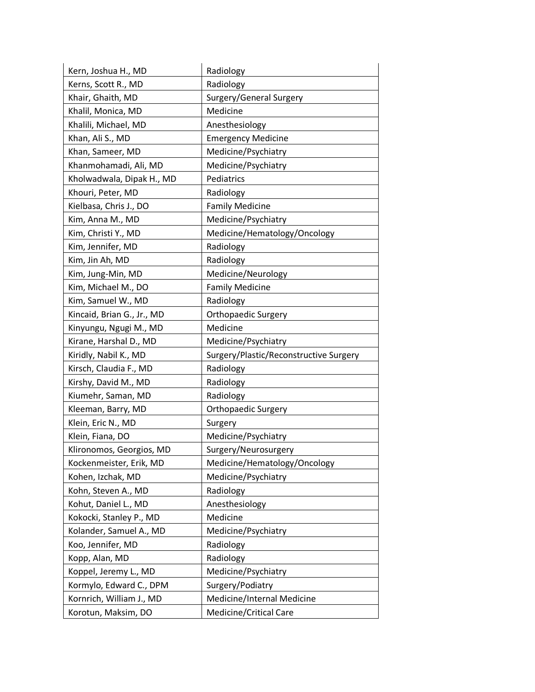| Kern, Joshua H., MD        | Radiology                              |
|----------------------------|----------------------------------------|
| Kerns, Scott R., MD        | Radiology                              |
| Khair, Ghaith, MD          | Surgery/General Surgery                |
| Khalil, Monica, MD         | Medicine                               |
| Khalili, Michael, MD       | Anesthesiology                         |
| Khan, Ali S., MD           | <b>Emergency Medicine</b>              |
| Khan, Sameer, MD           | Medicine/Psychiatry                    |
| Khanmohamadi, Ali, MD      | Medicine/Psychiatry                    |
| Kholwadwala, Dipak H., MD  | Pediatrics                             |
| Khouri, Peter, MD          | Radiology                              |
| Kielbasa, Chris J., DO     | <b>Family Medicine</b>                 |
| Kim, Anna M., MD           | Medicine/Psychiatry                    |
| Kim, Christi Y., MD        | Medicine/Hematology/Oncology           |
| Kim, Jennifer, MD          | Radiology                              |
| Kim, Jin Ah, MD            | Radiology                              |
| Kim, Jung-Min, MD          | Medicine/Neurology                     |
| Kim, Michael M., DO        | <b>Family Medicine</b>                 |
| Kim, Samuel W., MD         | Radiology                              |
| Kincaid, Brian G., Jr., MD | Orthopaedic Surgery                    |
| Kinyungu, Ngugi M., MD     | Medicine                               |
| Kirane, Harshal D., MD     | Medicine/Psychiatry                    |
| Kiridly, Nabil K., MD      | Surgery/Plastic/Reconstructive Surgery |
| Kirsch, Claudia F., MD     | Radiology                              |
| Kirshy, David M., MD       | Radiology                              |
| Kiumehr, Saman, MD         | Radiology                              |
| Kleeman, Barry, MD         | <b>Orthopaedic Surgery</b>             |
| Klein, Eric N., MD         | Surgery                                |
| Klein, Fiana, DO           | Medicine/Psychiatry                    |
| Klironomos, Georgios, MD   | Surgery/Neurosurgery                   |
| Kockenmeister, Erik, MD    | Medicine/Hematology/Oncology           |
| Kohen, Izchak, MD          | Medicine/Psychiatry                    |
| Kohn, Steven A., MD        | Radiology                              |
| Kohut, Daniel L., MD       | Anesthesiology                         |
| Kokocki, Stanley P., MD    | Medicine                               |
| Kolander, Samuel A., MD    | Medicine/Psychiatry                    |
| Koo, Jennifer, MD          | Radiology                              |
| Kopp, Alan, MD             | Radiology                              |
| Koppel, Jeremy L., MD      | Medicine/Psychiatry                    |
| Kormylo, Edward C., DPM    | Surgery/Podiatry                       |
| Kornrich, William J., MD   | Medicine/Internal Medicine             |
| Korotun, Maksim, DO        | Medicine/Critical Care                 |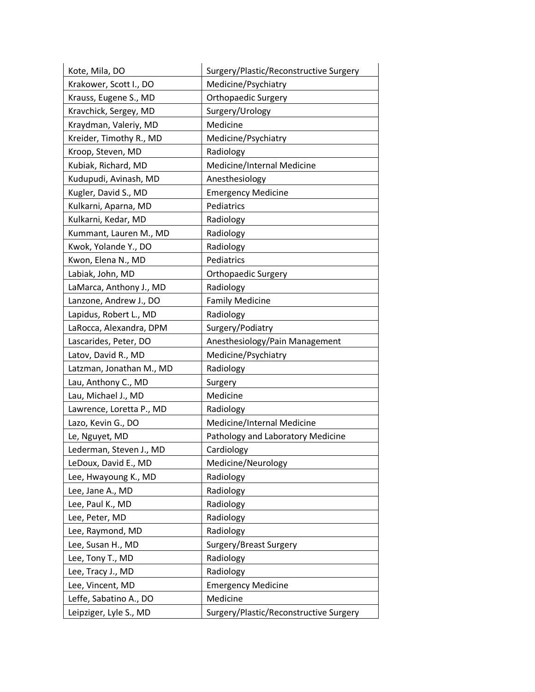| Kote, Mila, DO           | Surgery/Plastic/Reconstructive Surgery |
|--------------------------|----------------------------------------|
| Krakower, Scott I., DO   | Medicine/Psychiatry                    |
| Krauss, Eugene S., MD    | Orthopaedic Surgery                    |
| Kravchick, Sergey, MD    | Surgery/Urology                        |
| Kraydman, Valeriy, MD    | Medicine                               |
| Kreider, Timothy R., MD  | Medicine/Psychiatry                    |
| Kroop, Steven, MD        | Radiology                              |
| Kubiak, Richard, MD      | Medicine/Internal Medicine             |
| Kudupudi, Avinash, MD    | Anesthesiology                         |
| Kugler, David S., MD     | <b>Emergency Medicine</b>              |
| Kulkarni, Aparna, MD     | Pediatrics                             |
| Kulkarni, Kedar, MD      | Radiology                              |
| Kummant, Lauren M., MD   | Radiology                              |
| Kwok, Yolande Y., DO     | Radiology                              |
| Kwon, Elena N., MD       | Pediatrics                             |
| Labiak, John, MD         | <b>Orthopaedic Surgery</b>             |
| LaMarca, Anthony J., MD  | Radiology                              |
| Lanzone, Andrew J., DO   | <b>Family Medicine</b>                 |
| Lapidus, Robert L., MD   | Radiology                              |
| LaRocca, Alexandra, DPM  | Surgery/Podiatry                       |
| Lascarides, Peter, DO    | Anesthesiology/Pain Management         |
| Latov, David R., MD      | Medicine/Psychiatry                    |
| Latzman, Jonathan M., MD | Radiology                              |
| Lau, Anthony C., MD      | Surgery                                |
| Lau, Michael J., MD      | Medicine                               |
| Lawrence, Loretta P., MD | Radiology                              |
| Lazo, Kevin G., DO       | Medicine/Internal Medicine             |
| Le, Nguyet, MD           | Pathology and Laboratory Medicine      |
| Lederman, Steven J., MD  | Cardiology                             |
| LeDoux, David E., MD     | Medicine/Neurology                     |
| Lee, Hwayoung K., MD     | Radiology                              |
| Lee, Jane A., MD         | Radiology                              |
| Lee, Paul K., MD         | Radiology                              |
| Lee, Peter, MD           | Radiology                              |
| Lee, Raymond, MD         | Radiology                              |
| Lee, Susan H., MD        | Surgery/Breast Surgery                 |
| Lee, Tony T., MD         | Radiology                              |
| Lee, Tracy J., MD        | Radiology                              |
| Lee, Vincent, MD         | <b>Emergency Medicine</b>              |
| Leffe, Sabatino A., DO   | Medicine                               |
| Leipziger, Lyle S., MD   | Surgery/Plastic/Reconstructive Surgery |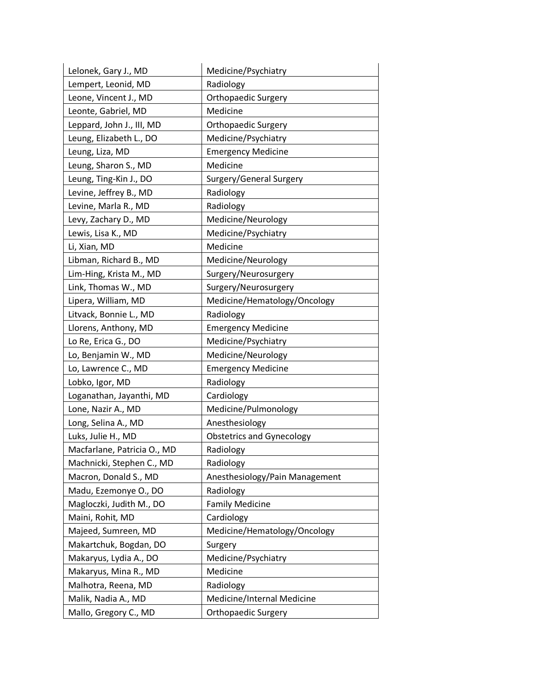| Lelonek, Gary J., MD        | Medicine/Psychiatry              |
|-----------------------------|----------------------------------|
| Lempert, Leonid, MD         | Radiology                        |
| Leone, Vincent J., MD       | Orthopaedic Surgery              |
| Leonte, Gabriel, MD         | Medicine                         |
| Leppard, John J., III, MD   | Orthopaedic Surgery              |
| Leung, Elizabeth L., DO     | Medicine/Psychiatry              |
| Leung, Liza, MD             | <b>Emergency Medicine</b>        |
| Leung, Sharon S., MD        | Medicine                         |
| Leung, Ting-Kin J., DO      | Surgery/General Surgery          |
| Levine, Jeffrey B., MD      | Radiology                        |
| Levine, Marla R., MD        | Radiology                        |
| Levy, Zachary D., MD        | Medicine/Neurology               |
| Lewis, Lisa K., MD          | Medicine/Psychiatry              |
| Li, Xian, MD                | Medicine                         |
| Libman, Richard B., MD      | Medicine/Neurology               |
| Lim-Hing, Krista M., MD     | Surgery/Neurosurgery             |
| Link, Thomas W., MD         | Surgery/Neurosurgery             |
| Lipera, William, MD         | Medicine/Hematology/Oncology     |
| Litvack, Bonnie L., MD      | Radiology                        |
| Llorens, Anthony, MD        | <b>Emergency Medicine</b>        |
| Lo Re, Erica G., DO         | Medicine/Psychiatry              |
| Lo, Benjamin W., MD         | Medicine/Neurology               |
| Lo, Lawrence C., MD         | <b>Emergency Medicine</b>        |
| Lobko, Igor, MD             | Radiology                        |
| Loganathan, Jayanthi, MD    | Cardiology                       |
| Lone, Nazir A., MD          | Medicine/Pulmonology             |
| Long, Selina A., MD         | Anesthesiology                   |
| Luks, Julie H., MD          | <b>Obstetrics and Gynecology</b> |
| Macfarlane, Patricia O., MD | Radiology                        |
| Machnicki, Stephen C., MD   | Radiology                        |
| Macron, Donald S., MD       | Anesthesiology/Pain Management   |
| Madu, Ezemonye O., DO       | Radiology                        |
| Magloczki, Judith M., DO    | <b>Family Medicine</b>           |
| Maini, Rohit, MD            | Cardiology                       |
| Majeed, Sumreen, MD         | Medicine/Hematology/Oncology     |
| Makartchuk, Bogdan, DO      | Surgery                          |
| Makaryus, Lydia A., DO      | Medicine/Psychiatry              |
| Makaryus, Mina R., MD       | Medicine                         |
| Malhotra, Reena, MD         | Radiology                        |
| Malik, Nadia A., MD         | Medicine/Internal Medicine       |
| Mallo, Gregory C., MD       | <b>Orthopaedic Surgery</b>       |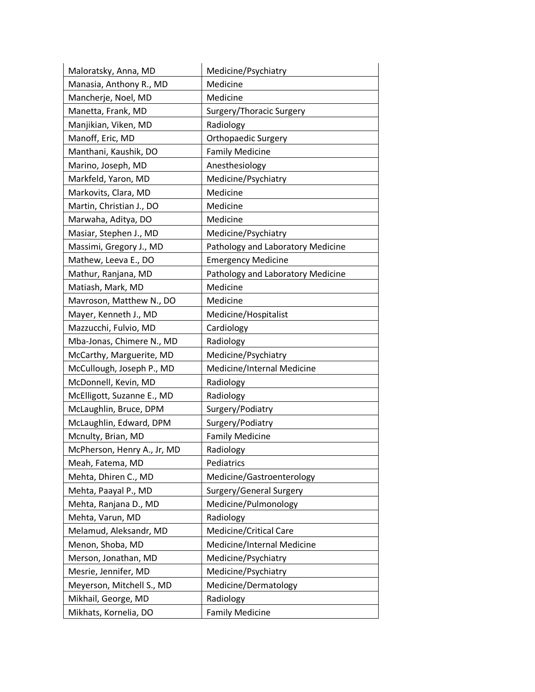| Maloratsky, Anna, MD        | Medicine/Psychiatry               |
|-----------------------------|-----------------------------------|
| Manasia, Anthony R., MD     | Medicine                          |
| Mancherje, Noel, MD         | Medicine                          |
| Manetta, Frank, MD          | Surgery/Thoracic Surgery          |
| Manjikian, Viken, MD        | Radiology                         |
| Manoff, Eric, MD            | <b>Orthopaedic Surgery</b>        |
| Manthani, Kaushik, DO       | <b>Family Medicine</b>            |
| Marino, Joseph, MD          | Anesthesiology                    |
| Markfeld, Yaron, MD         | Medicine/Psychiatry               |
| Markovits, Clara, MD        | Medicine                          |
| Martin, Christian J., DO    | Medicine                          |
| Marwaha, Aditya, DO         | Medicine                          |
| Masiar, Stephen J., MD      | Medicine/Psychiatry               |
| Massimi, Gregory J., MD     | Pathology and Laboratory Medicine |
| Mathew, Leeva E., DO        | <b>Emergency Medicine</b>         |
| Mathur, Ranjana, MD         | Pathology and Laboratory Medicine |
| Matiash, Mark, MD           | Medicine                          |
| Mavroson, Matthew N., DO    | Medicine                          |
| Mayer, Kenneth J., MD       | Medicine/Hospitalist              |
| Mazzucchi, Fulvio, MD       | Cardiology                        |
| Mba-Jonas, Chimere N., MD   | Radiology                         |
| McCarthy, Marguerite, MD    | Medicine/Psychiatry               |
| McCullough, Joseph P., MD   | Medicine/Internal Medicine        |
| McDonnell, Kevin, MD        | Radiology                         |
| McElligott, Suzanne E., MD  | Radiology                         |
| McLaughlin, Bruce, DPM      | Surgery/Podiatry                  |
| McLaughlin, Edward, DPM     | Surgery/Podiatry                  |
| Mcnulty, Brian, MD          | <b>Family Medicine</b>            |
| McPherson, Henry A., Jr, MD | Radiology                         |
| Meah, Fatema, MD            | Pediatrics                        |
| Mehta, Dhiren C., MD        | Medicine/Gastroenterology         |
| Mehta, Paayal P., MD        | Surgery/General Surgery           |
| Mehta, Ranjana D., MD       | Medicine/Pulmonology              |
| Mehta, Varun, MD            | Radiology                         |
| Melamud, Aleksandr, MD      | Medicine/Critical Care            |
| Menon, Shoba, MD            | Medicine/Internal Medicine        |
| Merson, Jonathan, MD        | Medicine/Psychiatry               |
| Mesrie, Jennifer, MD        | Medicine/Psychiatry               |
| Meyerson, Mitchell S., MD   | Medicine/Dermatology              |
| Mikhail, George, MD         | Radiology                         |
| Mikhats, Kornelia, DO       | <b>Family Medicine</b>            |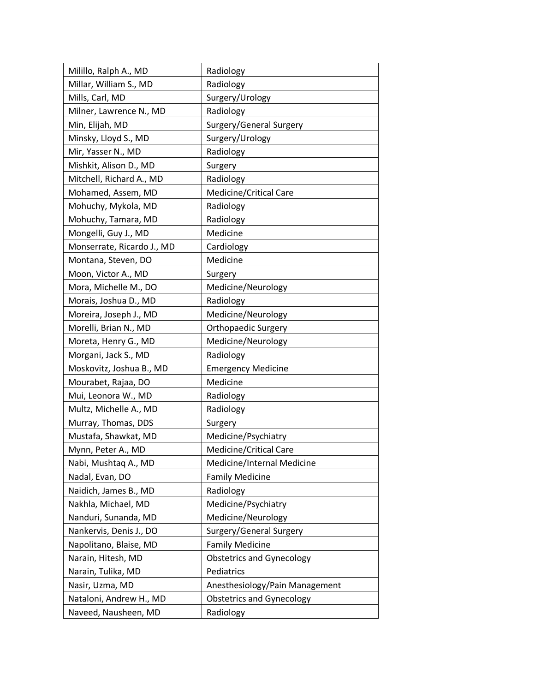| Milillo, Ralph A., MD      | Radiology                        |
|----------------------------|----------------------------------|
| Millar, William S., MD     | Radiology                        |
| Mills, Carl, MD            | Surgery/Urology                  |
| Milner, Lawrence N., MD    | Radiology                        |
| Min, Elijah, MD            | Surgery/General Surgery          |
| Minsky, Lloyd S., MD       | Surgery/Urology                  |
| Mir, Yasser N., MD         | Radiology                        |
| Mishkit, Alison D., MD     | Surgery                          |
| Mitchell, Richard A., MD   | Radiology                        |
| Mohamed, Assem, MD         | Medicine/Critical Care           |
| Mohuchy, Mykola, MD        | Radiology                        |
| Mohuchy, Tamara, MD        | Radiology                        |
| Mongelli, Guy J., MD       | Medicine                         |
| Monserrate, Ricardo J., MD | Cardiology                       |
| Montana, Steven, DO        | Medicine                         |
| Moon, Victor A., MD        | Surgery                          |
| Mora, Michelle M., DO      | Medicine/Neurology               |
| Morais, Joshua D., MD      | Radiology                        |
| Moreira, Joseph J., MD     | Medicine/Neurology               |
| Morelli, Brian N., MD      | <b>Orthopaedic Surgery</b>       |
| Moreta, Henry G., MD       | Medicine/Neurology               |
| Morgani, Jack S., MD       | Radiology                        |
| Moskovitz, Joshua B., MD   | <b>Emergency Medicine</b>        |
| Mourabet, Rajaa, DO        | Medicine                         |
| Mui, Leonora W., MD        | Radiology                        |
| Multz, Michelle A., MD     | Radiology                        |
| Murray, Thomas, DDS        | Surgery                          |
| Mustafa, Shawkat, MD       | Medicine/Psychiatry              |
| Mynn, Peter A., MD         | <b>Medicine/Critical Care</b>    |
| Nabi, Mushtaq A., MD       | Medicine/Internal Medicine       |
| Nadal, Evan, DO            | <b>Family Medicine</b>           |
| Naidich, James B., MD      | Radiology                        |
| Nakhla, Michael, MD        | Medicine/Psychiatry              |
| Nanduri, Sunanda, MD       | Medicine/Neurology               |
| Nankervis, Denis J., DO    | Surgery/General Surgery          |
| Napolitano, Blaise, MD     | <b>Family Medicine</b>           |
| Narain, Hitesh, MD         | <b>Obstetrics and Gynecology</b> |
| Narain, Tulika, MD         | Pediatrics                       |
| Nasir, Uzma, MD            | Anesthesiology/Pain Management   |
| Nataloni, Andrew H., MD    | <b>Obstetrics and Gynecology</b> |
| Naveed, Nausheen, MD       | Radiology                        |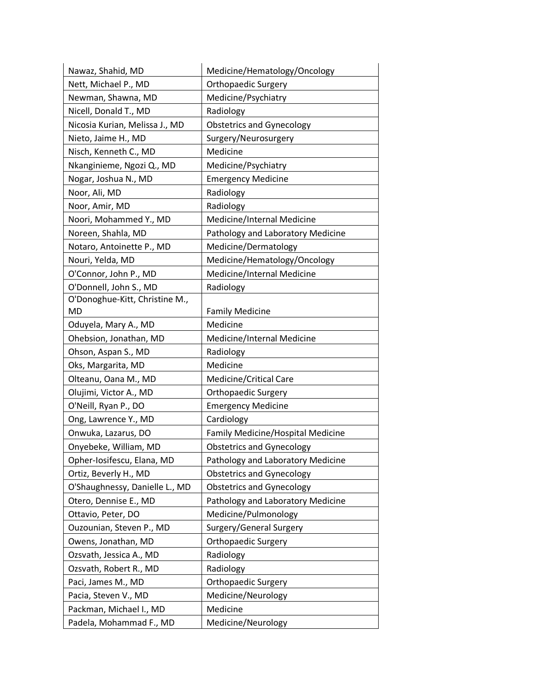| Nawaz, Shahid, MD              | Medicine/Hematology/Oncology      |
|--------------------------------|-----------------------------------|
| Nett, Michael P., MD           | Orthopaedic Surgery               |
| Newman, Shawna, MD             | Medicine/Psychiatry               |
| Nicell, Donald T., MD          | Radiology                         |
| Nicosia Kurian, Melissa J., MD | <b>Obstetrics and Gynecology</b>  |
| Nieto, Jaime H., MD            | Surgery/Neurosurgery              |
| Nisch, Kenneth C., MD          | Medicine                          |
| Nkanginieme, Ngozi Q., MD      | Medicine/Psychiatry               |
| Nogar, Joshua N., MD           | <b>Emergency Medicine</b>         |
| Noor, Ali, MD                  | Radiology                         |
| Noor, Amir, MD                 | Radiology                         |
| Noori, Mohammed Y., MD         | Medicine/Internal Medicine        |
| Noreen, Shahla, MD             | Pathology and Laboratory Medicine |
| Notaro, Antoinette P., MD      | Medicine/Dermatology              |
| Nouri, Yelda, MD               | Medicine/Hematology/Oncology      |
| O'Connor, John P., MD          | Medicine/Internal Medicine        |
| O'Donnell, John S., MD         | Radiology                         |
| O'Donoghue-Kitt, Christine M., |                                   |
| MD                             | <b>Family Medicine</b>            |
| Oduyela, Mary A., MD           | Medicine                          |
| Ohebsion, Jonathan, MD         | Medicine/Internal Medicine        |
| Ohson, Aspan S., MD            | Radiology                         |
| Oks, Margarita, MD             | Medicine                          |
| Olteanu, Oana M., MD           | Medicine/Critical Care            |
| Olujimi, Victor A., MD         | Orthopaedic Surgery               |
| O'Neill, Ryan P., DO           | <b>Emergency Medicine</b>         |
| Ong, Lawrence Y., MD           | Cardiology                        |
| Onwuka, Lazarus, DO            | Family Medicine/Hospital Medicine |
| Onyebeke, William, MD          | <b>Obstetrics and Gynecology</b>  |
| Opher-Iosifescu, Elana, MD     | Pathology and Laboratory Medicine |
| Ortiz, Beverly H., MD          | <b>Obstetrics and Gynecology</b>  |
| O'Shaughnessy, Danielle L., MD | <b>Obstetrics and Gynecology</b>  |
| Otero, Dennise E., MD          | Pathology and Laboratory Medicine |
| Ottavio, Peter, DO             | Medicine/Pulmonology              |
| Ouzounian, Steven P., MD       | Surgery/General Surgery           |
| Owens, Jonathan, MD            | Orthopaedic Surgery               |
| Ozsvath, Jessica A., MD        | Radiology                         |
| Ozsvath, Robert R., MD         | Radiology                         |
| Paci, James M., MD             | Orthopaedic Surgery               |
| Pacia, Steven V., MD           | Medicine/Neurology                |
| Packman, Michael I., MD        | Medicine                          |
| Padela, Mohammad F., MD        | Medicine/Neurology                |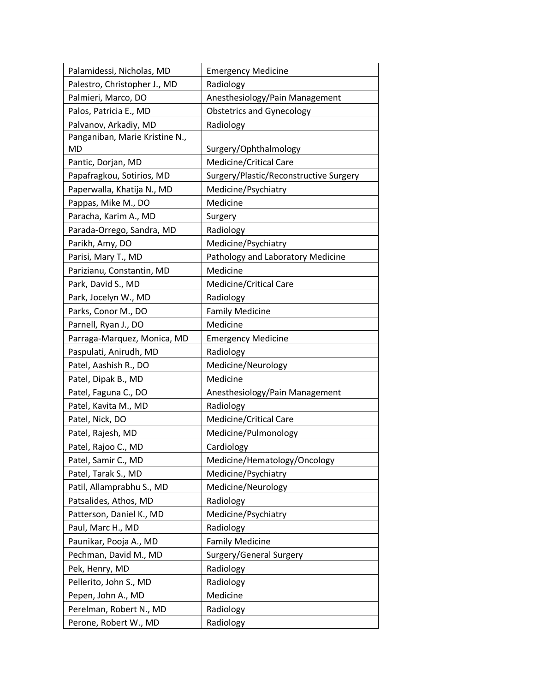| Palamidessi, Nicholas, MD      | <b>Emergency Medicine</b>              |
|--------------------------------|----------------------------------------|
| Palestro, Christopher J., MD   | Radiology                              |
| Palmieri, Marco, DO            | Anesthesiology/Pain Management         |
| Palos, Patricia E., MD         | <b>Obstetrics and Gynecology</b>       |
| Palvanov, Arkadiy, MD          | Radiology                              |
| Panganiban, Marie Kristine N., |                                        |
| MD                             | Surgery/Ophthalmology                  |
| Pantic, Dorjan, MD             | Medicine/Critical Care                 |
| Papafragkou, Sotirios, MD      | Surgery/Plastic/Reconstructive Surgery |
| Paperwalla, Khatija N., MD     | Medicine/Psychiatry                    |
| Pappas, Mike M., DO            | Medicine                               |
| Paracha, Karim A., MD          | Surgery                                |
| Parada-Orrego, Sandra, MD      | Radiology                              |
| Parikh, Amy, DO                | Medicine/Psychiatry                    |
| Parisi, Mary T., MD            | Pathology and Laboratory Medicine      |
| Parizianu, Constantin, MD      | Medicine                               |
| Park, David S., MD             | Medicine/Critical Care                 |
| Park, Jocelyn W., MD           | Radiology                              |
| Parks, Conor M., DO            | <b>Family Medicine</b>                 |
| Parnell, Ryan J., DO           | Medicine                               |
| Parraga-Marquez, Monica, MD    | <b>Emergency Medicine</b>              |
| Paspulati, Anirudh, MD         | Radiology                              |
| Patel, Aashish R., DO          | Medicine/Neurology                     |
| Patel, Dipak B., MD            | Medicine                               |
| Patel, Faguna C., DO           | Anesthesiology/Pain Management         |
| Patel, Kavita M., MD           | Radiology                              |
| Patel, Nick, DO                | Medicine/Critical Care                 |
| Patel, Rajesh, MD              | Medicine/Pulmonology                   |
| Patel, Rajoo C., MD            | Cardiology                             |
| Patel, Samir C., MD            | Medicine/Hematology/Oncology           |
| Patel, Tarak S., MD            | Medicine/Psychiatry                    |
| Patil, Allamprabhu S., MD      | Medicine/Neurology                     |
| Patsalides, Athos, MD          | Radiology                              |
| Patterson, Daniel K., MD       | Medicine/Psychiatry                    |
| Paul, Marc H., MD              | Radiology                              |
| Paunikar, Pooja A., MD         | <b>Family Medicine</b>                 |
| Pechman, David M., MD          | Surgery/General Surgery                |
| Pek, Henry, MD                 | Radiology                              |
| Pellerito, John S., MD         | Radiology                              |
| Pepen, John A., MD             | Medicine                               |
| Perelman, Robert N., MD        | Radiology                              |
| Perone, Robert W., MD          | Radiology                              |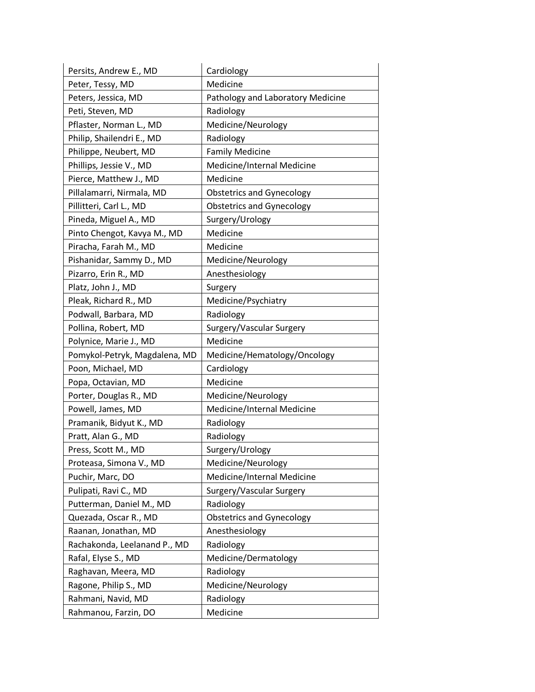| Persits, Andrew E., MD        | Cardiology                        |
|-------------------------------|-----------------------------------|
| Peter, Tessy, MD              | Medicine                          |
| Peters, Jessica, MD           | Pathology and Laboratory Medicine |
| Peti, Steven, MD              | Radiology                         |
| Pflaster, Norman L., MD       | Medicine/Neurology                |
| Philip, Shailendri E., MD     | Radiology                         |
| Philippe, Neubert, MD         | <b>Family Medicine</b>            |
| Phillips, Jessie V., MD       | Medicine/Internal Medicine        |
| Pierce, Matthew J., MD        | Medicine                          |
| Pillalamarri, Nirmala, MD     | <b>Obstetrics and Gynecology</b>  |
| Pillitteri, Carl L., MD       | <b>Obstetrics and Gynecology</b>  |
| Pineda, Miguel A., MD         | Surgery/Urology                   |
| Pinto Chengot, Kavya M., MD   | Medicine                          |
| Piracha, Farah M., MD         | Medicine                          |
| Pishanidar, Sammy D., MD      | Medicine/Neurology                |
| Pizarro, Erin R., MD          | Anesthesiology                    |
| Platz, John J., MD            | Surgery                           |
| Pleak, Richard R., MD         | Medicine/Psychiatry               |
| Podwall, Barbara, MD          | Radiology                         |
| Pollina, Robert, MD           | Surgery/Vascular Surgery          |
| Polynice, Marie J., MD        | Medicine                          |
| Pomykol-Petryk, Magdalena, MD | Medicine/Hematology/Oncology      |
| Poon, Michael, MD             | Cardiology                        |
| Popa, Octavian, MD            | Medicine                          |
| Porter, Douglas R., MD        | Medicine/Neurology                |
| Powell, James, MD             | Medicine/Internal Medicine        |
| Pramanik, Bidyut K., MD       | Radiology                         |
| Pratt, Alan G., MD            | Radiology                         |
| Press, Scott M., MD           | Surgery/Urology                   |
| Proteasa, Simona V., MD       | Medicine/Neurology                |
| Puchir, Marc, DO              | Medicine/Internal Medicine        |
| Pulipati, Ravi C., MD         | Surgery/Vascular Surgery          |
| Putterman, Daniel M., MD      | Radiology                         |
| Quezada, Oscar R., MD         | <b>Obstetrics and Gynecology</b>  |
| Raanan, Jonathan, MD          | Anesthesiology                    |
| Rachakonda, Leelanand P., MD  | Radiology                         |
| Rafal, Elyse S., MD           | Medicine/Dermatology              |
| Raghavan, Meera, MD           | Radiology                         |
| Ragone, Philip S., MD         | Medicine/Neurology                |
| Rahmani, Navid, MD            | Radiology                         |
| Rahmanou, Farzin, DO          | Medicine                          |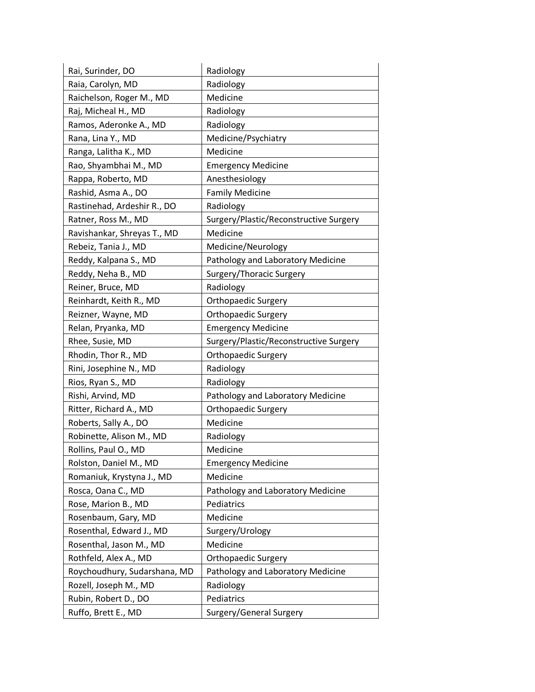| Rai, Surinder, DO            | Radiology                              |
|------------------------------|----------------------------------------|
| Raia, Carolyn, MD            | Radiology                              |
| Raichelson, Roger M., MD     | Medicine                               |
| Raj, Micheal H., MD          | Radiology                              |
| Ramos, Aderonke A., MD       | Radiology                              |
| Rana, Lina Y., MD            | Medicine/Psychiatry                    |
| Ranga, Lalitha K., MD        | Medicine                               |
| Rao, Shyambhai M., MD        | <b>Emergency Medicine</b>              |
| Rappa, Roberto, MD           | Anesthesiology                         |
| Rashid, Asma A., DO          | <b>Family Medicine</b>                 |
| Rastinehad, Ardeshir R., DO  | Radiology                              |
| Ratner, Ross M., MD          | Surgery/Plastic/Reconstructive Surgery |
| Ravishankar, Shreyas T., MD  | Medicine                               |
| Rebeiz, Tania J., MD         | Medicine/Neurology                     |
| Reddy, Kalpana S., MD        | Pathology and Laboratory Medicine      |
| Reddy, Neha B., MD           | Surgery/Thoracic Surgery               |
| Reiner, Bruce, MD            | Radiology                              |
| Reinhardt, Keith R., MD      | <b>Orthopaedic Surgery</b>             |
| Reizner, Wayne, MD           | <b>Orthopaedic Surgery</b>             |
| Relan, Pryanka, MD           | <b>Emergency Medicine</b>              |
| Rhee, Susie, MD              | Surgery/Plastic/Reconstructive Surgery |
| Rhodin, Thor R., MD          | Orthopaedic Surgery                    |
| Rini, Josephine N., MD       | Radiology                              |
| Rios, Ryan S., MD            | Radiology                              |
| Rishi, Arvind, MD            | Pathology and Laboratory Medicine      |
| Ritter, Richard A., MD       | <b>Orthopaedic Surgery</b>             |
| Roberts, Sally A., DO        | Medicine                               |
| Robinette, Alison M., MD     | Radiology                              |
| Rollins, Paul O., MD         | Medicine                               |
| Rolston, Daniel M., MD       | <b>Emergency Medicine</b>              |
| Romaniuk, Krystyna J., MD    | Medicine                               |
| Rosca, Oana C., MD           | Pathology and Laboratory Medicine      |
| Rose, Marion B., MD          | Pediatrics                             |
| Rosenbaum, Gary, MD          | Medicine                               |
| Rosenthal, Edward J., MD     | Surgery/Urology                        |
| Rosenthal, Jason M., MD      | Medicine                               |
| Rothfeld, Alex A., MD        | <b>Orthopaedic Surgery</b>             |
| Roychoudhury, Sudarshana, MD | Pathology and Laboratory Medicine      |
| Rozell, Joseph M., MD        | Radiology                              |
| Rubin, Robert D., DO         | Pediatrics                             |
| Ruffo, Brett E., MD          | Surgery/General Surgery                |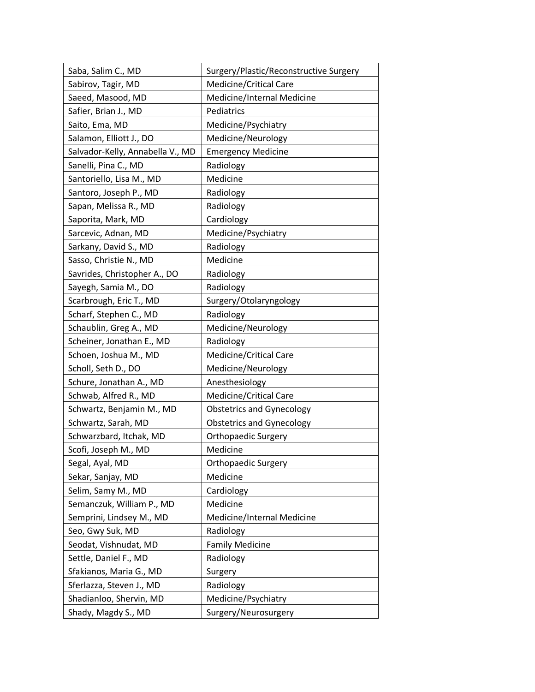| Saba, Salim C., MD               | Surgery/Plastic/Reconstructive Surgery |
|----------------------------------|----------------------------------------|
| Sabirov, Tagir, MD               | Medicine/Critical Care                 |
| Saeed, Masood, MD                | Medicine/Internal Medicine             |
| Safier, Brian J., MD             | Pediatrics                             |
| Saito, Ema, MD                   | Medicine/Psychiatry                    |
| Salamon, Elliott J., DO          | Medicine/Neurology                     |
| Salvador-Kelly, Annabella V., MD | <b>Emergency Medicine</b>              |
| Sanelli, Pina C., MD             | Radiology                              |
| Santoriello, Lisa M., MD         | Medicine                               |
| Santoro, Joseph P., MD           | Radiology                              |
| Sapan, Melissa R., MD            | Radiology                              |
| Saporita, Mark, MD               | Cardiology                             |
| Sarcevic, Adnan, MD              | Medicine/Psychiatry                    |
| Sarkany, David S., MD            | Radiology                              |
| Sasso, Christie N., MD           | Medicine                               |
| Savrides, Christopher A., DO     | Radiology                              |
| Sayegh, Samia M., DO             | Radiology                              |
| Scarbrough, Eric T., MD          | Surgery/Otolaryngology                 |
| Scharf, Stephen C., MD           | Radiology                              |
| Schaublin, Greg A., MD           | Medicine/Neurology                     |
| Scheiner, Jonathan E., MD        | Radiology                              |
| Schoen, Joshua M., MD            | Medicine/Critical Care                 |
| Scholl, Seth D., DO              | Medicine/Neurology                     |
| Schure, Jonathan A., MD          | Anesthesiology                         |
| Schwab, Alfred R., MD            | Medicine/Critical Care                 |
| Schwartz, Benjamin M., MD        | <b>Obstetrics and Gynecology</b>       |
| Schwartz, Sarah, MD              | <b>Obstetrics and Gynecology</b>       |
| Schwarzbard, Itchak, MD          | <b>Orthopaedic Surgery</b>             |
| Scofi, Joseph M., MD             | Medicine                               |
| Segal, Ayal, MD                  | <b>Orthopaedic Surgery</b>             |
| Sekar, Sanjay, MD                | Medicine                               |
| Selim, Samy M., MD               | Cardiology                             |
| Semanczuk, William P., MD        | Medicine                               |
| Semprini, Lindsey M., MD         | Medicine/Internal Medicine             |
| Seo, Gwy Suk, MD                 | Radiology                              |
| Seodat, Vishnudat, MD            | <b>Family Medicine</b>                 |
| Settle, Daniel F., MD            | Radiology                              |
| Sfakianos, Maria G., MD          | Surgery                                |
| Sferlazza, Steven J., MD         | Radiology                              |
| Shadianloo, Shervin, MD          | Medicine/Psychiatry                    |
| Shady, Magdy S., MD              | Surgery/Neurosurgery                   |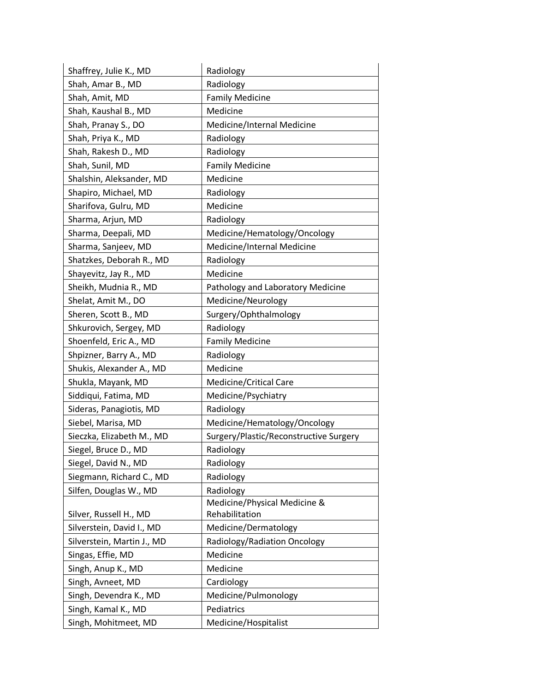| Shaffrey, Julie K., MD     | Radiology                              |
|----------------------------|----------------------------------------|
| Shah, Amar B., MD          | Radiology                              |
| Shah, Amit, MD             | <b>Family Medicine</b>                 |
| Shah, Kaushal B., MD       | Medicine                               |
| Shah, Pranay S., DO        | Medicine/Internal Medicine             |
| Shah, Priya K., MD         | Radiology                              |
| Shah, Rakesh D., MD        | Radiology                              |
| Shah, Sunil, MD            | <b>Family Medicine</b>                 |
| Shalshin, Aleksander, MD   | Medicine                               |
| Shapiro, Michael, MD       | Radiology                              |
| Sharifova, Gulru, MD       | Medicine                               |
| Sharma, Arjun, MD          | Radiology                              |
| Sharma, Deepali, MD        | Medicine/Hematology/Oncology           |
| Sharma, Sanjeev, MD        | Medicine/Internal Medicine             |
| Shatzkes, Deborah R., MD   | Radiology                              |
| Shayevitz, Jay R., MD      | Medicine                               |
| Sheikh, Mudnia R., MD      | Pathology and Laboratory Medicine      |
| Shelat, Amit M., DO        | Medicine/Neurology                     |
| Sheren, Scott B., MD       | Surgery/Ophthalmology                  |
| Shkurovich, Sergey, MD     | Radiology                              |
| Shoenfeld, Eric A., MD     | <b>Family Medicine</b>                 |
| Shpizner, Barry A., MD     | Radiology                              |
| Shukis, Alexander A., MD   | Medicine                               |
| Shukla, Mayank, MD         | Medicine/Critical Care                 |
| Siddiqui, Fatima, MD       | Medicine/Psychiatry                    |
| Sideras, Panagiotis, MD    | Radiology                              |
| Siebel, Marisa, MD         | Medicine/Hematology/Oncology           |
| Sieczka, Elizabeth M., MD  | Surgery/Plastic/Reconstructive Surgery |
| Siegel, Bruce D., MD       | Radiology                              |
| Siegel, David N., MD       | Radiology                              |
| Siegmann, Richard C., MD   | Radiology                              |
| Silfen, Douglas W., MD     | Radiology                              |
|                            | Medicine/Physical Medicine &           |
| Silver, Russell H., MD     | Rehabilitation                         |
| Silverstein, David I., MD  | Medicine/Dermatology                   |
| Silverstein, Martin J., MD | Radiology/Radiation Oncology           |
| Singas, Effie, MD          | Medicine                               |
| Singh, Anup K., MD         | Medicine                               |
| Singh, Avneet, MD          | Cardiology                             |
| Singh, Devendra K., MD     | Medicine/Pulmonology                   |
| Singh, Kamal K., MD        | Pediatrics                             |
| Singh, Mohitmeet, MD       | Medicine/Hospitalist                   |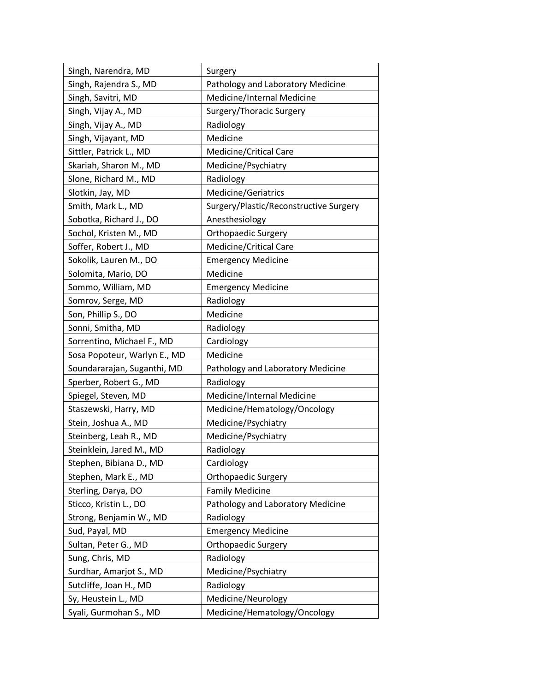| Singh, Narendra, MD          | Surgery                                |
|------------------------------|----------------------------------------|
| Singh, Rajendra S., MD       | Pathology and Laboratory Medicine      |
| Singh, Savitri, MD           | Medicine/Internal Medicine             |
| Singh, Vijay A., MD          | Surgery/Thoracic Surgery               |
| Singh, Vijay A., MD          | Radiology                              |
| Singh, Vijayant, MD          | Medicine                               |
| Sittler, Patrick L., MD      | <b>Medicine/Critical Care</b>          |
| Skariah, Sharon M., MD       | Medicine/Psychiatry                    |
| Slone, Richard M., MD        | Radiology                              |
| Slotkin, Jay, MD             | Medicine/Geriatrics                    |
| Smith, Mark L., MD           | Surgery/Plastic/Reconstructive Surgery |
| Sobotka, Richard J., DO      | Anesthesiology                         |
| Sochol, Kristen M., MD       | <b>Orthopaedic Surgery</b>             |
| Soffer, Robert J., MD        | Medicine/Critical Care                 |
| Sokolik, Lauren M., DO       | <b>Emergency Medicine</b>              |
| Solomita, Mario, DO          | Medicine                               |
| Sommo, William, MD           | <b>Emergency Medicine</b>              |
| Somrov, Serge, MD            | Radiology                              |
| Son, Phillip S., DO          | Medicine                               |
| Sonni, Smitha, MD            | Radiology                              |
| Sorrentino, Michael F., MD   | Cardiology                             |
| Sosa Popoteur, Warlyn E., MD | Medicine                               |
| Soundararajan, Suganthi, MD  | Pathology and Laboratory Medicine      |
| Sperber, Robert G., MD       | Radiology                              |
| Spiegel, Steven, MD          | Medicine/Internal Medicine             |
| Staszewski, Harry, MD        | Medicine/Hematology/Oncology           |
| Stein, Joshua A., MD         | Medicine/Psychiatry                    |
| Steinberg, Leah R., MD       | Medicine/Psychiatry                    |
| Steinklein, Jared M., MD     | Radiology                              |
| Stephen, Bibiana D., MD      | Cardiology                             |
| Stephen, Mark E., MD         | <b>Orthopaedic Surgery</b>             |
| Sterling, Darya, DO          | <b>Family Medicine</b>                 |
| Sticco, Kristin L., DO       | Pathology and Laboratory Medicine      |
| Strong, Benjamin W., MD      | Radiology                              |
| Sud, Payal, MD               | <b>Emergency Medicine</b>              |
| Sultan, Peter G., MD         | Orthopaedic Surgery                    |
| Sung, Chris, MD              | Radiology                              |
| Surdhar, Amarjot S., MD      | Medicine/Psychiatry                    |
| Sutcliffe, Joan H., MD       | Radiology                              |
| Sy, Heustein L., MD          | Medicine/Neurology                     |
| Syali, Gurmohan S., MD       | Medicine/Hematology/Oncology           |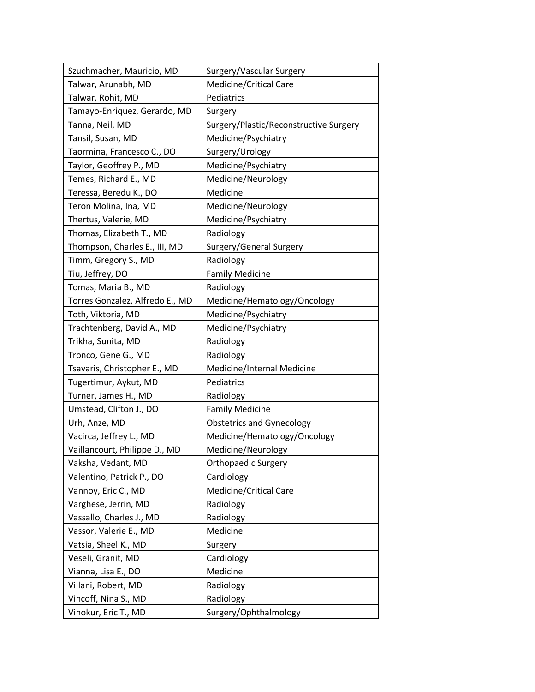| Szuchmacher, Mauricio, MD       | Surgery/Vascular Surgery               |
|---------------------------------|----------------------------------------|
| Talwar, Arunabh, MD             | <b>Medicine/Critical Care</b>          |
| Talwar, Rohit, MD               | Pediatrics                             |
| Tamayo-Enriquez, Gerardo, MD    | Surgery                                |
| Tanna, Neil, MD                 | Surgery/Plastic/Reconstructive Surgery |
| Tansil, Susan, MD               | Medicine/Psychiatry                    |
| Taormina, Francesco C., DO      | Surgery/Urology                        |
| Taylor, Geoffrey P., MD         | Medicine/Psychiatry                    |
| Temes, Richard E., MD           | Medicine/Neurology                     |
| Teressa, Beredu K., DO          | Medicine                               |
| Teron Molina, Ina, MD           | Medicine/Neurology                     |
| Thertus, Valerie, MD            | Medicine/Psychiatry                    |
| Thomas, Elizabeth T., MD        | Radiology                              |
| Thompson, Charles E., III, MD   | Surgery/General Surgery                |
| Timm, Gregory S., MD            | Radiology                              |
| Tiu, Jeffrey, DO                | <b>Family Medicine</b>                 |
| Tomas, Maria B., MD             | Radiology                              |
| Torres Gonzalez, Alfredo E., MD | Medicine/Hematology/Oncology           |
| Toth, Viktoria, MD              | Medicine/Psychiatry                    |
| Trachtenberg, David A., MD      | Medicine/Psychiatry                    |
| Trikha, Sunita, MD              | Radiology                              |
| Tronco, Gene G., MD             | Radiology                              |
| Tsavaris, Christopher E., MD    | Medicine/Internal Medicine             |
| Tugertimur, Aykut, MD           | Pediatrics                             |
| Turner, James H., MD            | Radiology                              |
| Umstead, Clifton J., DO         | <b>Family Medicine</b>                 |
| Urh, Anze, MD                   | <b>Obstetrics and Gynecology</b>       |
| Vacirca, Jeffrey L., MD         | Medicine/Hematology/Oncology           |
| Vaillancourt, Philippe D., MD   | Medicine/Neurology                     |
| Vaksha, Vedant, MD              | <b>Orthopaedic Surgery</b>             |
| Valentino, Patrick P., DO       | Cardiology                             |
| Vannoy, Eric C., MD             | Medicine/Critical Care                 |
| Varghese, Jerrin, MD            | Radiology                              |
| Vassallo, Charles J., MD        | Radiology                              |
| Vassor, Valerie E., MD          | Medicine                               |
| Vatsia, Sheel K., MD            | Surgery                                |
| Veseli, Granit, MD              | Cardiology                             |
| Vianna, Lisa E., DO             | Medicine                               |
| Villani, Robert, MD             | Radiology                              |
| Vincoff, Nina S., MD            | Radiology                              |
| Vinokur, Eric T., MD            | Surgery/Ophthalmology                  |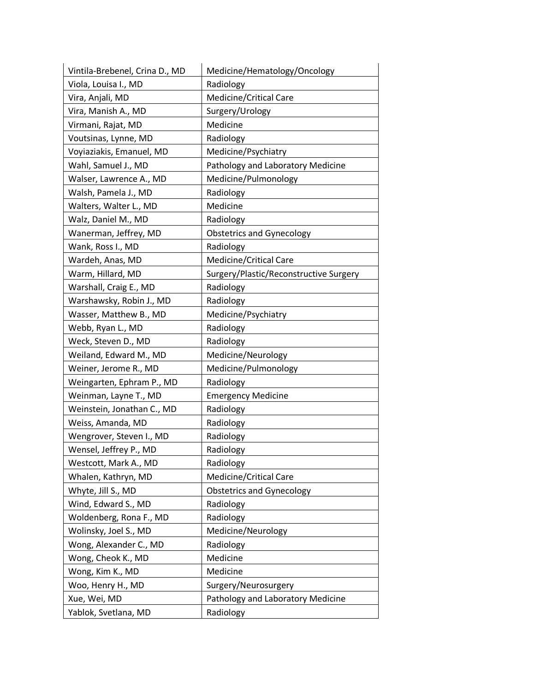| Vintila-Brebenel, Crina D., MD | Medicine/Hematology/Oncology           |
|--------------------------------|----------------------------------------|
| Viola, Louisa I., MD           | Radiology                              |
| Vira, Anjali, MD               | <b>Medicine/Critical Care</b>          |
| Vira, Manish A., MD            | Surgery/Urology                        |
| Virmani, Rajat, MD             | Medicine                               |
| Voutsinas, Lynne, MD           | Radiology                              |
| Voyiaziakis, Emanuel, MD       | Medicine/Psychiatry                    |
| Wahl, Samuel J., MD            | Pathology and Laboratory Medicine      |
| Walser, Lawrence A., MD        | Medicine/Pulmonology                   |
| Walsh, Pamela J., MD           | Radiology                              |
| Walters, Walter L., MD         | Medicine                               |
| Walz, Daniel M., MD            | Radiology                              |
| Wanerman, Jeffrey, MD          | <b>Obstetrics and Gynecology</b>       |
| Wank, Ross I., MD              | Radiology                              |
| Wardeh, Anas, MD               | <b>Medicine/Critical Care</b>          |
| Warm, Hillard, MD              | Surgery/Plastic/Reconstructive Surgery |
| Warshall, Craig E., MD         | Radiology                              |
| Warshawsky, Robin J., MD       | Radiology                              |
| Wasser, Matthew B., MD         | Medicine/Psychiatry                    |
| Webb, Ryan L., MD              | Radiology                              |
| Weck, Steven D., MD            | Radiology                              |
| Weiland, Edward M., MD         | Medicine/Neurology                     |
| Weiner, Jerome R., MD          | Medicine/Pulmonology                   |
| Weingarten, Ephram P., MD      | Radiology                              |
| Weinman, Layne T., MD          | <b>Emergency Medicine</b>              |
| Weinstein, Jonathan C., MD     | Radiology                              |
| Weiss, Amanda, MD              | Radiology                              |
| Wengrover, Steven I., MD       | Radiology                              |
| Wensel, Jeffrey P., MD         | Radiology                              |
| Westcott, Mark A., MD          | Radiology                              |
| Whalen, Kathryn, MD            | Medicine/Critical Care                 |
| Whyte, Jill S., MD             | <b>Obstetrics and Gynecology</b>       |
| Wind, Edward S., MD            | Radiology                              |
| Woldenberg, Rona F., MD        | Radiology                              |
| Wolinsky, Joel S., MD          | Medicine/Neurology                     |
| Wong, Alexander C., MD         | Radiology                              |
| Wong, Cheok K., MD             | Medicine                               |
| Wong, Kim K., MD               | Medicine                               |
| Woo, Henry H., MD              | Surgery/Neurosurgery                   |
| Xue, Wei, MD                   | Pathology and Laboratory Medicine      |
| Yablok, Svetlana, MD           | Radiology                              |